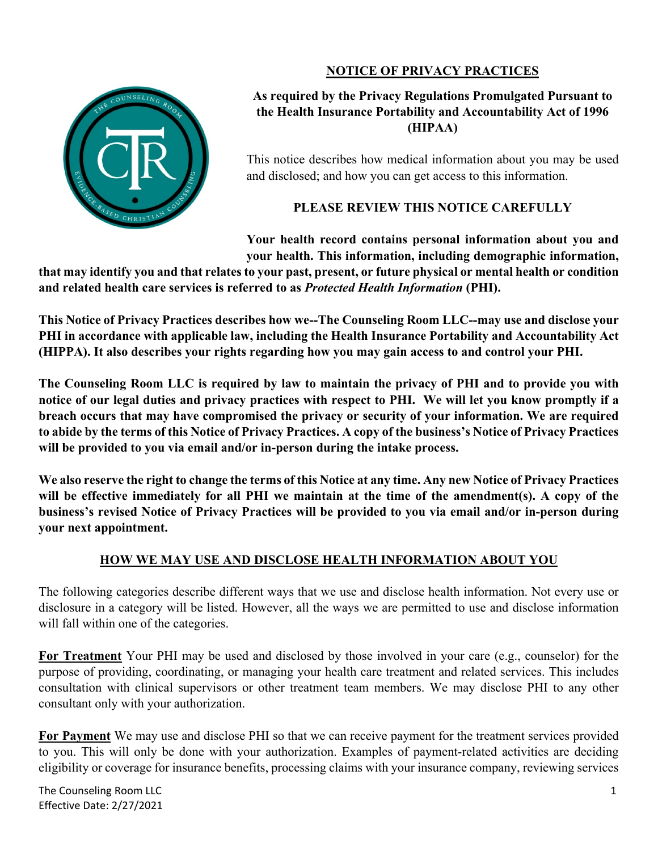### **NOTICE OF PRIVACY PRACTICES**



### **As required by the Privacy Regulations Promulgated Pursuant to the Health Insurance Portability and Accountability Act of 1996 (HIPAA)**

This notice describes how medical information about you may be used and disclosed; and how you can get access to this information.

# **PLEASE REVIEW THIS NOTICE CAREFULLY**

**Your health record contains personal information about you and your health. This information, including demographic information,**

**that may identify you and that relates to your past, present, or future physical or mental health or condition and related health care services is referred to as** *Protected Health Information* **(PHI).** 

**This Notice of Privacy Practices describes how we--The Counseling Room LLC--may use and disclose your PHI in accordance with applicable law, including the Health Insurance Portability and Accountability Act (HIPPA). It also describes your rights regarding how you may gain access to and control your PHI.**

**The Counseling Room LLC is required by law to maintain the privacy of PHI and to provide you with notice of our legal duties and privacy practices with respect to PHI. We will let you know promptly if a breach occurs that may have compromised the privacy or security of your information. We are required to abide by the terms of this Notice of Privacy Practices. A copy of the business's Notice of Privacy Practices will be provided to you via email and/or in-person during the intake process.** 

**We also reserve the right to change the terms of this Notice at any time. Any new Notice of Privacy Practices will be effective immediately for all PHI we maintain at the time of the amendment(s). A copy of the business's revised Notice of Privacy Practices will be provided to you via email and/or in-person during your next appointment.**

### **HOW WE MAY USE AND DISCLOSE HEALTH INFORMATION ABOUT YOU**

The following categories describe different ways that we use and disclose health information. Not every use or disclosure in a category will be listed. However, all the ways we are permitted to use and disclose information will fall within one of the categories.

**For Treatment** Your PHI may be used and disclosed by those involved in your care (e.g., counselor) for the purpose of providing, coordinating, or managing your health care treatment and related services. This includes consultation with clinical supervisors or other treatment team members. We may disclose PHI to any other consultant only with your authorization.

**For Payment** We may use and disclose PHI so that we can receive payment for the treatment services provided to you. This will only be done with your authorization. Examples of payment-related activities are deciding eligibility or coverage for insurance benefits, processing claims with your insurance company, reviewing services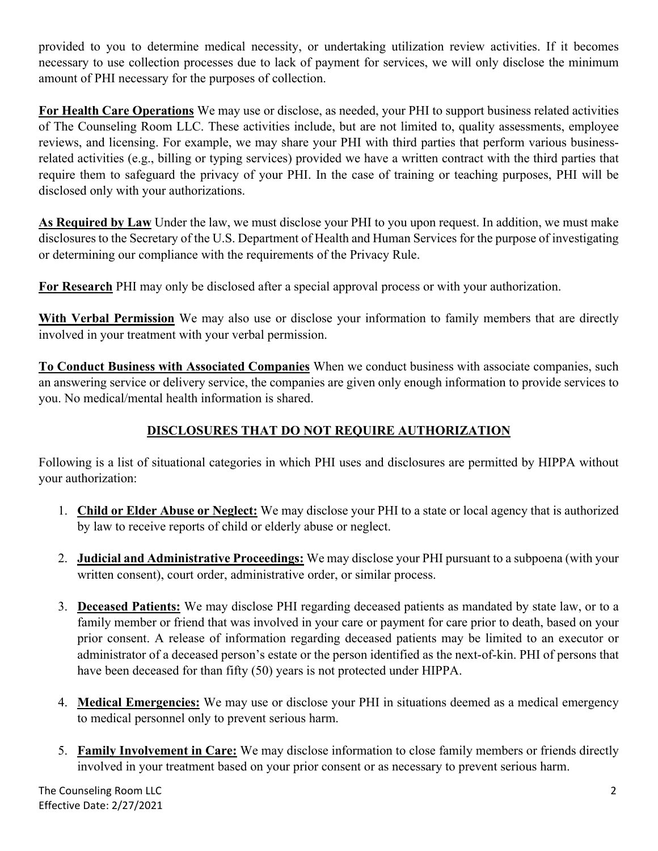provided to you to determine medical necessity, or undertaking utilization review activities. If it becomes necessary to use collection processes due to lack of payment for services, we will only disclose the minimum amount of PHI necessary for the purposes of collection.

**For Health Care Operations** We may use or disclose, as needed, your PHI to support business related activities of The Counseling Room LLC. These activities include, but are not limited to, quality assessments, employee reviews, and licensing. For example, we may share your PHI with third parties that perform various businessrelated activities (e.g., billing or typing services) provided we have a written contract with the third parties that require them to safeguard the privacy of your PHI. In the case of training or teaching purposes, PHI will be disclosed only with your authorizations.

**As Required by Law** Under the law, we must disclose your PHI to you upon request. In addition, we must make disclosures to the Secretary of the U.S. Department of Health and Human Services for the purpose of investigating or determining our compliance with the requirements of the Privacy Rule.

**For Research** PHI may only be disclosed after a special approval process or with your authorization.

**With Verbal Permission** We may also use or disclose your information to family members that are directly involved in your treatment with your verbal permission.

**To Conduct Business with Associated Companies** When we conduct business with associate companies, such an answering service or delivery service, the companies are given only enough information to provide services to you. No medical/mental health information is shared.

# **DISCLOSURES THAT DO NOT REQUIRE AUTHORIZATION**

Following is a list of situational categories in which PHI uses and disclosures are permitted by HIPPA without your authorization:

- 1. **Child or Elder Abuse or Neglect:** We may disclose your PHI to a state or local agency that is authorized by law to receive reports of child or elderly abuse or neglect.
- 2. **Judicial and Administrative Proceedings:** We may disclose your PHI pursuant to a subpoena (with your written consent), court order, administrative order, or similar process.
- 3. **Deceased Patients:** We may disclose PHI regarding deceased patients as mandated by state law, or to a family member or friend that was involved in your care or payment for care prior to death, based on your prior consent. A release of information regarding deceased patients may be limited to an executor or administrator of a deceased person's estate or the person identified as the next-of-kin. PHI of persons that have been deceased for than fifty (50) years is not protected under HIPPA.
- 4. **Medical Emergencies:** We may use or disclose your PHI in situations deemed as a medical emergency to medical personnel only to prevent serious harm.
- 5. **Family Involvement in Care:** We may disclose information to close family members or friends directly involved in your treatment based on your prior consent or as necessary to prevent serious harm.

The Counseling Room LLC 2 Effective Date: 2/27/2021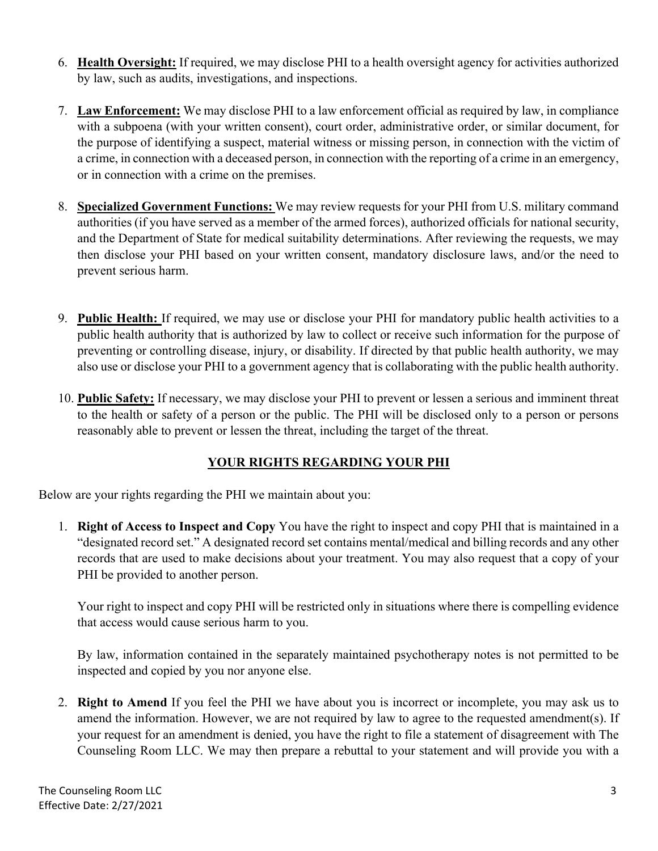- 6. **Health Oversight:** If required, we may disclose PHI to a health oversight agency for activities authorized by law, such as audits, investigations, and inspections.
- 7. **Law Enforcement:** We may disclose PHI to a law enforcement official as required by law, in compliance with a subpoena (with your written consent), court order, administrative order, or similar document, for the purpose of identifying a suspect, material witness or missing person, in connection with the victim of a crime, in connection with a deceased person, in connection with the reporting of a crime in an emergency, or in connection with a crime on the premises.
- 8. **Specialized Government Functions:** We may review requests for your PHI from U.S. military command authorities (if you have served as a member of the armed forces), authorized officials for national security, and the Department of State for medical suitability determinations. After reviewing the requests, we may then disclose your PHI based on your written consent, mandatory disclosure laws, and/or the need to prevent serious harm.
- 9. **Public Health:** If required, we may use or disclose your PHI for mandatory public health activities to a public health authority that is authorized by law to collect or receive such information for the purpose of preventing or controlling disease, injury, or disability. If directed by that public health authority, we may also use or disclose your PHI to a government agency that is collaborating with the public health authority.
- 10. **Public Safety:** If necessary, we may disclose your PHI to prevent or lessen a serious and imminent threat to the health or safety of a person or the public. The PHI will be disclosed only to a person or persons reasonably able to prevent or lessen the threat, including the target of the threat.

# **YOUR RIGHTS REGARDING YOUR PHI**

Below are your rights regarding the PHI we maintain about you:

1. **Right of Access to Inspect and Copy** You have the right to inspect and copy PHI that is maintained in a "designated record set." A designated record set contains mental/medical and billing records and any other records that are used to make decisions about your treatment. You may also request that a copy of your PHI be provided to another person.

Your right to inspect and copy PHI will be restricted only in situations where there is compelling evidence that access would cause serious harm to you.

By law, information contained in the separately maintained psychotherapy notes is not permitted to be inspected and copied by you nor anyone else.

2. **Right to Amend** If you feel the PHI we have about you is incorrect or incomplete, you may ask us to amend the information. However, we are not required by law to agree to the requested amendment(s). If your request for an amendment is denied, you have the right to file a statement of disagreement with The Counseling Room LLC. We may then prepare a rebuttal to your statement and will provide you with a